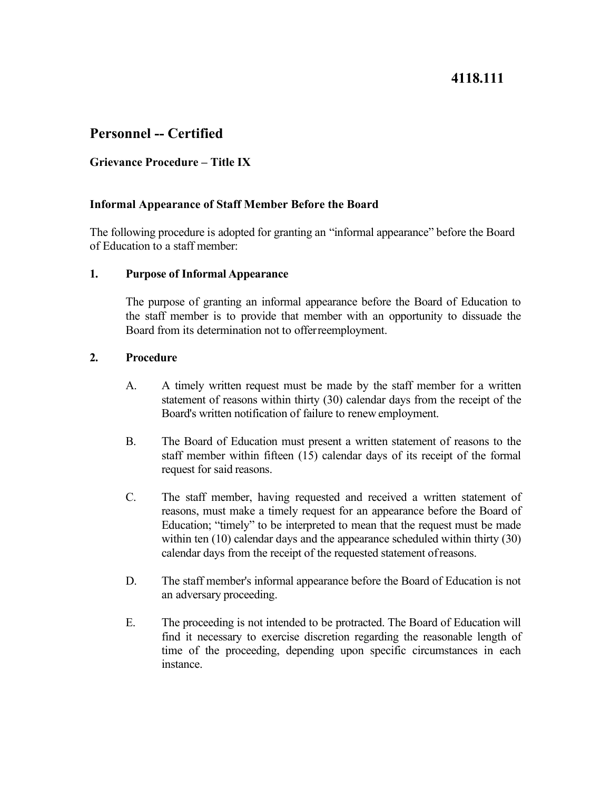# **4118.111**

# **Personnel -- Certified**

## **Grievance Procedure – Title IX**

### **Informal Appearance of Staff Member Before the Board**

The following procedure is adopted for granting an "informal appearance" before the Board of Education to a staff member:

### **1. Purpose of Informal Appearance**

 The purpose of granting an informal appearance before the Board of Education to the staff member is to provide that member with an opportunity to dissuade the Board from its determination not to offerreemployment.

### **2. Procedure**

- Board's written notification of failure to renew employment. A. A timely written request must be made by the staff member for a written statement of reasons within thirty (30) calendar days from the receipt of the
- request for said reasons. B. The Board of Education must present a written statement of reasons to the staff member within fifteen (15) calendar days of its receipt of the formal
- within ten (10) calendar days and the appearance scheduled within thirty (30) calendar days from the receipt of the requested statement ofreasons. C. The staff member, having requested and received a written statement of reasons, must make a timely request for an appearance before the Board of Education; "timely" to be interpreted to mean that the request must be made
- D. The staff member's informal appearance before the Board of Education is not an adversary proceeding.
- E. The proceeding is not intended to be protracted. The Board of Education will find it necessary to exercise discretion regarding the reasonable length of time of the proceeding, depending upon specific circumstances in each instance.